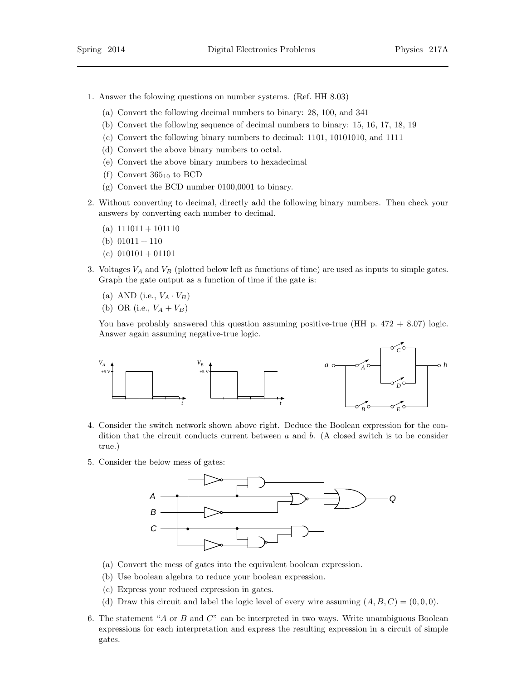- 1. Answer the folowing questions on number systems. (Ref. HH 8.03)
	- (a) Convert the following decimal numbers to binary: 28, 100, and 341
	- (b) Convert the following sequence of decimal numbers to binary: 15, 16, 17, 18, 19
	- (c) Convert the following binary numbers to decimal: 1101, 10101010, and 1111
	- (d) Convert the above binary numbers to octal.
	- (e) Convert the above binary numbers to hexadecimal
	- (f) Convert  $365_{10}$  to BCD
	- (g) Convert the BCD number 0100,0001 to binary.
- 2. Without converting to decimal, directly add the following binary numbers. Then check your answers by converting each number to decimal.
	- (a)  $111011 + 101110$
	- (b)  $01011 + 110$
	- (c)  $010101 + 01101$
- 3. Voltages  $V_A$  and  $V_B$  (plotted below left as functions of time) are used as inputs to simple gates. Graph the gate output as a function of time if the gate is:
	- (a) AND (i.e.,  $V_A \cdot V_B$ )
	- (b) OR (i.e.,  $V_A + V_B$ )

You have probably answered this question assuming positive-true (HH p.  $472 + 8.07$ ) logic. Answer again assuming negative-true logic.



- 4. Consider the switch network shown above right. Deduce the Boolean expression for the condition that the circuit conducts current between  $a$  and  $b$ . (A closed switch is to be consider true.)
- 5. Consider the below mess of gates:



- (a) Convert the mess of gates into the equivalent boolean expression.
- (b) Use boolean algebra to reduce your boolean expression.
- (c) Express your reduced expression in gates.
- (d) Draw this circuit and label the logic level of every wire assuming  $(A, B, C) = (0, 0, 0)$ .
- 6. The statement "A or B and  $C$ " can be interpreted in two ways. Write unambiguous Boolean expressions for each interpretation and express the resulting expression in a circuit of simple gates.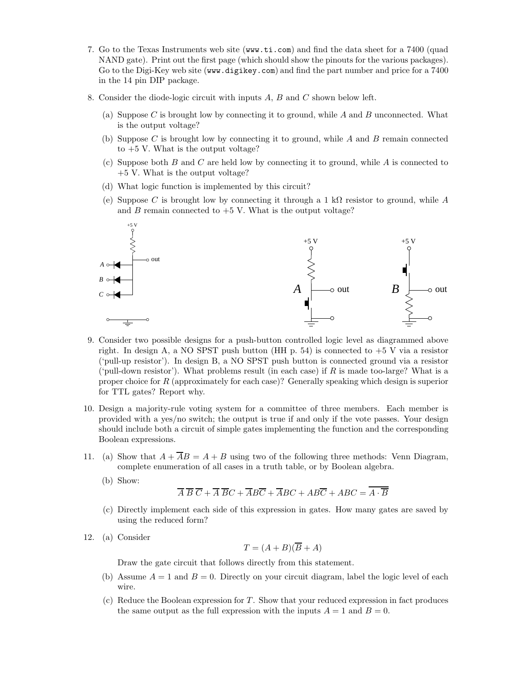- 7. Go to the Texas Instruments web site (www.ti.com) and find the data sheet for a 7400 (quad NAND gate). Print out the first page (which should show the pinouts for the various packages). Go to the Digi-Key web site (www.digikey.com) and find the part number and price for a 7400 in the 14 pin DIP package.
- 8. Consider the diode-logic circuit with inputs A, B and C shown below left.
	- (a) Suppose C is brought low by connecting it to ground, while A and B unconnected. What is the output voltage?
	- (b) Suppose C is brought low by connecting it to ground, while  $A$  and  $B$  remain connected to  $+5$  V. What is the output voltage?
	- (c) Suppose both B and C are held low by connecting it to ground, while A is connected to +5 V. What is the output voltage?
	- (d) What logic function is implemented by this circuit?
	- (e) Suppose C is brought low by connecting it through a 1 kΩ resistor to ground, while A and B remain connected to  $+5$  V. What is the output voltage?



- 9. Consider two possible designs for a push-button controlled logic level as diagrammed above right. In design A, a NO SPST push button (HH p. 54) is connected to  $+5$  V via a resistor ('pull-up resistor'). In design B, a NO SPST push button is connected ground via a resistor ('pull-down resistor'). What problems result (in each case) if R is made too-large? What is a proper choice for  $R$  (approximately for each case)? Generally speaking which design is superior for TTL gates? Report why.
- 10. Design a majority-rule voting system for a committee of three members. Each member is provided with a yes/no switch; the output is true if and only if the vote passes. Your design should include both a circuit of simple gates implementing the function and the corresponding Boolean expressions.
- 11. (a) Show that  $A + \overline{A}B = A + B$  using two of the following three methods: Venn Diagram, complete enumeration of all cases in a truth table, or by Boolean algebra.
	- (b) Show:

 $\overline{A} \ \overline{B} \ \overline{C} + \overline{A} \ \overline{B}C + \overline{A}B\overline{C} + \overline{A}BC + AB\overline{C} + ABC = \overline{A \cdot \overline{B}}$ 

- (c) Directly implement each side of this expression in gates. How many gates are saved by using the reduced form?
- 12. (a) Consider

$$
T = (A + B)(\overline{B} + A)
$$

Draw the gate circuit that follows directly from this statement.

- (b) Assume  $A = 1$  and  $B = 0$ . Directly on your circuit diagram, label the logic level of each wire.
- $(c)$  Reduce the Boolean expression for T. Show that your reduced expression in fact produces the same output as the full expression with the inputs  $A = 1$  and  $B = 0$ .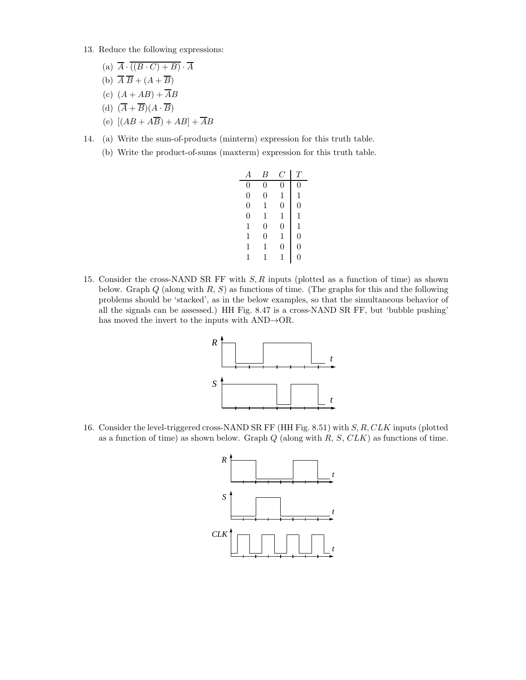- 13. Reduce the following expressions:
	- (a)  $\overline{A} \cdot \overline{((B \cdot C) + B)} \cdot \overline{A}$
	- (b)  $\overline{A} \ \overline{B} + (A + \overline{B})$
	- (c)  $(A + AB) + \overline{A}B$
	- (d)  $(\overline{A} + \overline{B})(A \cdot \overline{B})$
	- (e)  $[(AB + \overline{AB}) + AB] + \overline{AB}$
- 14. (a) Write the sum-of-products (minterm) expression for this truth table.
	- (b) Write the product-of-sums (maxterm) expression for this truth table.

| А                | В              | ۰,             | T              |
|------------------|----------------|----------------|----------------|
| 0                | 0              | 0              | 0              |
| $\boldsymbol{0}$ | $\overline{0}$ | 1              | 1              |
| $\overline{0}$   | 1              | $\overline{0}$ | $\overline{0}$ |
| $\overline{0}$   | 1              | 1              | 1              |
| 1                | $\overline{0}$ | $\overline{0}$ | 1              |
| 1                | $\overline{0}$ | 1              | $\overline{0}$ |
| 1                | 1              | $\overline{0}$ | $\overline{0}$ |
| 1                | 1              | 1              | 0              |

15. Consider the cross-NAND SR FF with S, R inputs (plotted as a function of time) as shown below. Graph  $Q$  (along with  $R$ ,  $S$ ) as functions of time. (The graphs for this and the following problems should be 'stacked', as in the below examples, so that the simultaneous behavior of all the signals can be assessed.) HH Fig. 8.47 is a cross-NAND SR FF, but 'bubble pushing' has moved the invert to the inputs with AND→OR.



16. Consider the level-triggered cross-NAND SR FF (HH Fig. 8.51) with S, R, CLK inputs (plotted as a function of time) as shown below. Graph  $Q$  (along with  $R, S, CLK$ ) as functions of time.

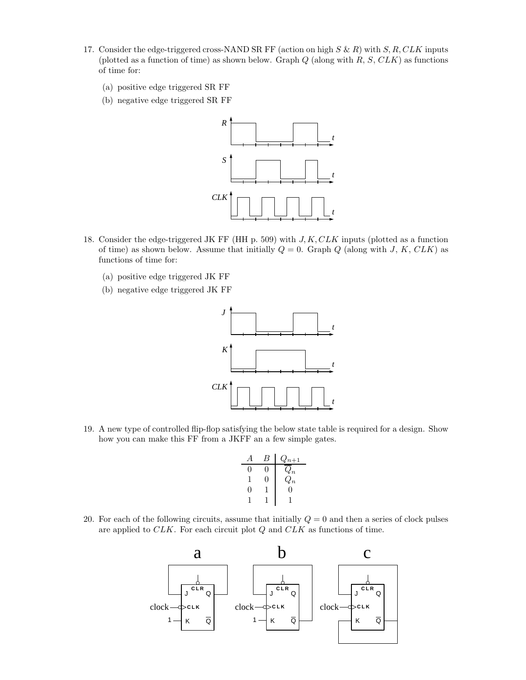- 17. Consider the edge-triggered cross-NAND SR FF (action on high  $S \& R$ ) with  $S, R, CLK$  inputs (plotted as a function of time) as shown below. Graph  $Q$  (along with  $R$ ,  $S$ ,  $CLK$ ) as functions of time for:
	- (a) positive edge triggered SR FF
	- (b) negative edge triggered SR FF



- 18. Consider the edge-triggered JK FF (HH p. 509) with  $J, K, CLK$  inputs (plotted as a function of time) as shown below. Assume that initially  $Q = 0$ . Graph Q (along with J, K, CLK) as functions of time for:
	- (a) positive edge triggered JK FF
	- (b) negative edge triggered JK FF

![](_page_3_Figure_7.jpeg)

19. A new type of controlled flip-flop satisfying the below state table is required for a design. Show how you can make this FF from a JKFF an a few simple gates.

|   | Б | $Q_{n+1}$        |
|---|---|------------------|
| 0 |   | $\mathcal{U}_n$  |
|   | 0 | $\overline{Q_n}$ |
| 0 |   | 0                |
|   |   |                  |

20. For each of the following circuits, assume that initially  $Q = 0$  and then a series of clock pulses are applied to CLK. For each circuit plot Q and CLK as functions of time.

![](_page_3_Figure_11.jpeg)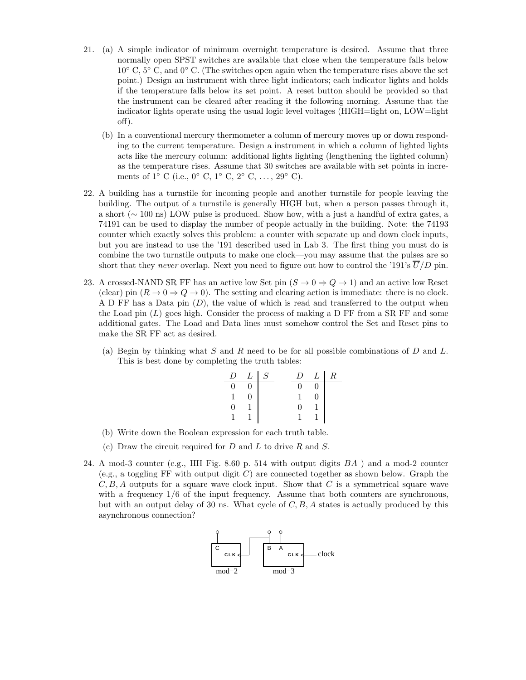- 21. (a) A simple indicator of minimum overnight temperature is desired. Assume that three normally open SPST switches are available that close when the temperature falls below  $10°$  C,  $5°$  C, and  $0°$  C. (The switches open again when the temperature rises above the set point.) Design an instrument with three light indicators; each indicator lights and holds if the temperature falls below its set point. A reset button should be provided so that the instrument can be cleared after reading it the following morning. Assume that the indicator lights operate using the usual logic level voltages (HIGH=light on, LOW=light off).
	- (b) In a conventional mercury thermometer a column of mercury moves up or down responding to the current temperature. Design a instrument in which a column of lighted lights acts like the mercury column: additional lights lighting (lengthening the lighted column) as the temperature rises. Assume that 30 switches are available with set points in increments of  $1^{\circ}$  C (i.e.,  $0^{\circ}$  C,  $1^{\circ}$  C,  $2^{\circ}$  C, ...,  $29^{\circ}$  C).
- 22. A building has a turnstile for incoming people and another turnstile for people leaving the building. The output of a turnstile is generally HIGH but, when a person passes through it, a short (∼ 100 ns) LOW pulse is produced. Show how, with a just a handful of extra gates, a 74191 can be used to display the number of people actually in the building. Note: the 74193 counter which exactly solves this problem: a counter with separate up and down clock inputs, but you are instead to use the '191 described used in Lab 3. The first thing you must do is combine the two turnstile outputs to make one clock—you may assume that the pulses are so short that they never overlap. Next you need to figure out how to control the '191's  $\overline{U}/D$  pin.
- 23. A crossed-NAND SR FF has an active low Set pin  $(S \to 0 \Rightarrow Q \to 1)$  and an active low Reset (clear) pin  $(R \to 0 \Rightarrow Q \to 0)$ . The setting and clearing action is immediate: there is no clock. A D FF has a Data pin (D), the value of which is read and transferred to the output when the Load pin  $(L)$  goes high. Consider the process of making a D FF from a SR FF and some additional gates. The Load and Data lines must somehow control the Set and Reset pins to make the SR FF act as desired.
	- (a) Begin by thinking what S and R need to be for all possible combinations of D and L. This is best done by completing the truth tables:

| I)       | $L \mid S$ |  | $\mathcal{L}$ | L | $_{R}$ |
|----------|------------|--|---------------|---|--------|
| $\Omega$ |            |  |               |   |        |
|          |            |  |               |   |        |
| ∩        |            |  | וו            |   |        |
|          |            |  |               |   |        |

- (b) Write down the Boolean expression for each truth table.
- (c) Draw the circuit required for  $D$  and  $L$  to drive  $R$  and  $S$ .
- 24. A mod-3 counter (e.g., HH Fig. 8.60 p. 514 with output digits  $BA$ ) and a mod-2 counter (e.g., a toggling FF with output digit  $C$ ) are connected together as shown below. Graph the  $C, B, A$  outputs for a square wave clock input. Show that C is a symmetrical square wave with a frequency  $1/6$  of the input frequency. Assume that both counters are synchronous, but with an output delay of 30 ns. What cycle of  $C, B, A$  states is actually produced by this asynchronous connection?

![](_page_4_Figure_9.jpeg)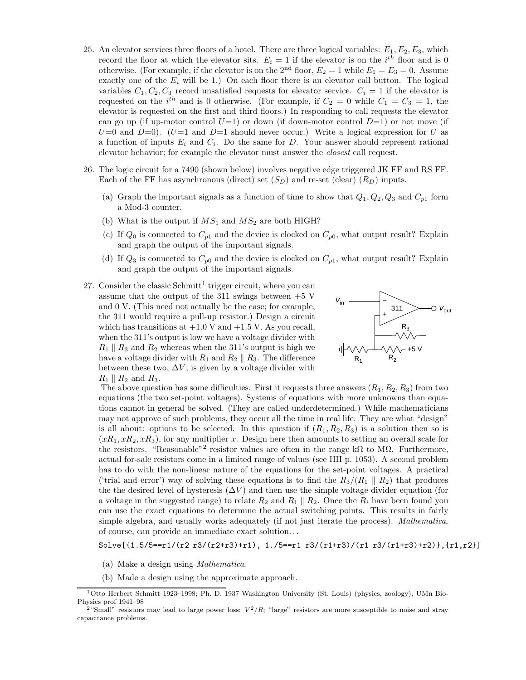- 25. An elevator services three floors of a hotel. There are three logical variables:  $E_1, E_2, E_3$ , which record the floor at which the elevator sits.  $E_i = 1$  if the elevator is on the  $i^{th}$  floor and is 0 otherwise. (For example, if the elevator is on the 2<sup>nd</sup> floor,  $E_2 = 1$  while  $E_1 = E_3 = 0$ . Assume exactly one of the  $E_i$  will be 1.) On each floor there is an elevator call button. The logical variables  $C_1, C_2, C_3$  record unsatisfied requests for elevator service.  $C_i = 1$  if the elevator is requested on the i<sup>th</sup> and is 0 otherwise. (For example, if  $C_2 = 0$  while  $C_1 = C_3 = 1$ , the elevator is requested on the first and third floors.) In responding to call requests the elevator can go up (if up-motor control  $U=1$ ) or down (if down-motor control  $D=1$ ) or not move (if  $U=0$  and  $D=0$ .  $(U=1$  and  $D=1$  should never occur.) Write a logical expression for U as a function of inputs  $E_i$  and  $C_i$ . Do the same for D. Your answer should represent rational elevator behavior; for example the elevator must answer the closest call request.
- 26. The logic circuit for a 7490 (shown below) involves negative edge triggered JK FF and RS FF. Each of the FF has asynchronous (direct) set  $(S_D)$  and re-set (clear)  $(R_D)$  inputs.
	- (a) Graph the important signals as a function of time to show that  $Q_1, Q_2, Q_3$  and  $C_{p1}$  form a Mod-3 counter.
	- (b) What is the output if  $MS_1$  and  $MS_2$  are both HIGH?
	- (c) If  $Q_0$  is connected to  $C_{p1}$  and the device is clocked on  $C_{p0}$ , what output result? Explain and graph the output of the important signals.
	- (d) If  $Q_3$  is connected to  $C_{p0}$  and the device is clocked on  $C_{p1}$ , what output result? Explain and graph the output of the important signals.
- 27. Consider the classic  $Schmitt<sup>1</sup> trigger circuit, where you can$ assume that the output of the 311 swings between  $+5$  V and 0 V. (This need not actually be the case; for example, the 311 would require a pull-up resistor.) Design a circuit which has transitions at  $+1.0$  V and  $+1.5$  V. As you recall, when the 311's output is low we have a voltage divider with  $R_1 \parallel R_3$  and  $R_2$  whereas when the 311's output is high we have a voltage divider with  $R_1$  and  $R_2 \parallel R_3$ . The difference between these two,  $\Delta V$ , is given by a voltage divider with  $R_1 \parallel R_2$  and  $R_3$ .

![](_page_5_Figure_7.jpeg)

The above question has some difficulties. First it requests three answers  $(R_1, R_2, R_3)$  from two equations (the two set-point voltages). Systems of equations with more unknowns than equations cannot in general be solved. (They are called underdetermined.) While mathematicians may not approve of such problems, they occur all the time in real life. They are what "design" is all about: options to be selected. In this question if  $(R_1, R_2, R_3)$  is a solution then so is  $(xR_1, xR_2, xR_3)$ , for any multiplier x. Design here then amounts to setting an overall scale for the resistors. "Reasonable"<sup>2</sup> resistor values are often in the range kΩ to MΩ. Furthermore, actual for-sale resistors come in a limited range of values (see HH p. 1053). A second problem has to do with the non-linear nature of the equations for the set-point voltages. A practical ('trial and error') way of solving these equations is to find the  $R_3/(R_1 \parallel R_2)$  that produces the the desired level of hysteresis  $(\Delta V)$  and then use the simple voltage divider equation (for a voltage in the suggested range) to relate  $R_2$  and  $R_1 \parallel R_2$ . Once the  $R_i$  have been found you can use the exact equations to determine the actual switching points. This results in fairly simple algebra, and usually works adequately (if not just iterate the process). Mathematica, of course, can provide an immediate exact solution. . .

Solve[{1.5/5==r1/(r2 r3/(r2+r3)+r1), 1./5==r1 r3/(r1+r3)/(r1 r3/(r1+r3)+r2)},{r1,r2}]

- (a) Make a design using Mathematica.
- (b) Made a design using the approximate approach.

<sup>1</sup>Otto Herbert Schmitt 1923–1998; Ph. D. 1937 Washington University (St. Louis) (physics, zoology), UMn Bio-Physics prof 1941–98

<sup>&</sup>lt;sup>2</sup> "Small" resistors may lead to large power loss:  $V^2/R$ ; "large" resistors are more susceptible to noise and stray capacitance problems.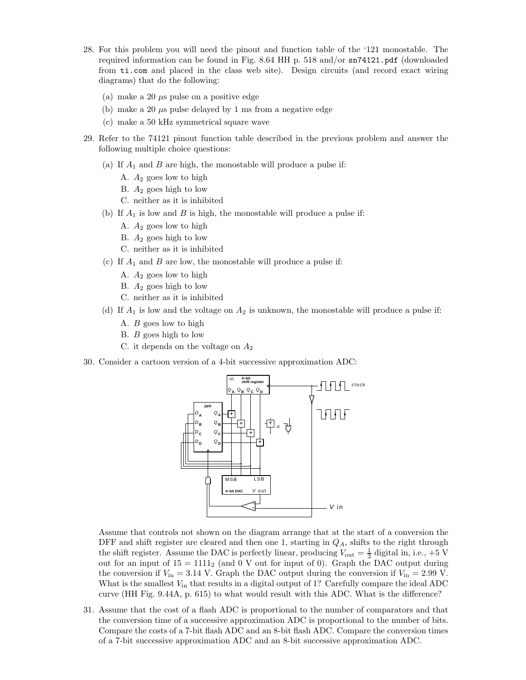- 28. For this problem you will need the pinout and function table of the '121 monostable. The required information can be found in Fig. 8.64 HH p. 518 and/or sn74121.pdf (downloaded from ti.com and placed in the class web site). Design circuits (and record exact wiring diagrams) that do the following:
	- (a) make a 20  $\mu$ s pulse on a positive edge
	- (b) make a 20  $\mu$ s pulse delayed by 1 ms from a negative edge
	- (c) make a 50 kHz symmetrical square wave
- 29. Refer to the 74121 pinout function table described in the previous problem and answer the following multiple choice questions:
	- (a) If  $A_1$  and  $B$  are high, the monostable will produce a pulse if:
		- A.  $A_2$  goes low to high
		- B.  $A_2$  goes high to low
		- C. neither as it is inhibited
	- (b) If  $A_1$  is low and  $B$  is high, the monostable will produce a pulse if:
		- A.  $A_2$  goes low to high
		- B.  $A_2$  goes high to low
		- C. neither as it is inhibited
	- (c) If  $A_1$  and  $B$  are low, the monostable will produce a pulse if:
		- A.  $A_2$  goes low to high
		- B.  $A_2$  goes high to low
		- C. neither as it is inhibited
	- (d) If  $A_1$  is low and the voltage on  $A_2$  is unknown, the monostable will produce a pulse if:
		- A. B goes low to high
		- B. B goes high to low
		- C. it depends on the voltage on  $A_2$
- 30. Consider a cartoon version of a 4-bit successive approximation ADC:

![](_page_6_Figure_22.jpeg)

Assume that controls not shown on the diagram arrange that at the start of a conversion the DFF and shift register are cleared and then one 1, starting in  $Q<sub>A</sub>$ , shifts to the right through the shift register. Assume the DAC is perfectly linear, producing  $V_{\text{out}} = \frac{1}{3}$  digital in, i.e., +5 V out for an input of  $15 = 1111_2$  (and 0 V out for input of 0). Graph the DAC output during the conversion if  $V_{\text{in}} = 3.14$  V. Graph the DAC output during the conversion if  $V_{\text{in}} = 2.99$  V. What is the smallest  $V_{in}$  that results in a digital output of 1? Carefully compare the ideal ADC curve (HH Fig. 9.44A, p. 615) to what would result with this ADC. What is the difference?

31. Assume that the cost of a flash ADC is proportional to the number of comparators and that the conversion time of a successive approximation ADC is proportional to the number of bits. Compare the costs of a 7-bit flash ADC and an 8-bit flash ADC. Compare the conversion times of a 7-bit successive approximation ADC and an 8-bit successive approximation ADC.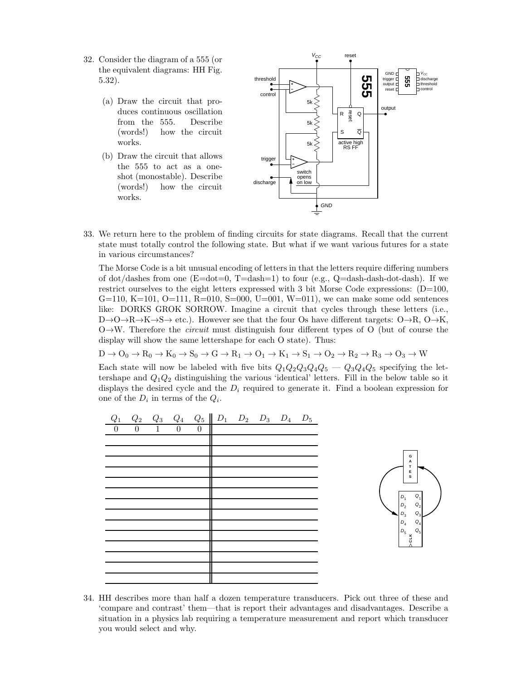- 32. Consider the diagram of a 555 (or the equivalent diagrams: HH Fig. 5.32).
	- (a) Draw the circuit that produces continuous oscillation from the 555. Describe (words!) how the circuit works.
	- (b) Draw the circuit that allows the 555 to act as a oneshot (monostable). Describe (words!) how the circuit works.

![](_page_7_Figure_3.jpeg)

33. We return here to the problem of finding circuits for state diagrams. Recall that the current state must totally control the following state. But what if we want various futures for a state in various circumstances?

The Morse Code is a bit unusual encoding of letters in that the letters require differing numbers of dot/dashes from one  $(E=dot=0, T=dash=1)$  to four (e.g.,  $Q=dash-dash-dots-dash$ ). If we restrict ourselves to the eight letters expressed with 3 bit Morse Code expressions:  $(D=100,$ G=110, K=101, O=111, R=010, S=000, U=001, W=011), we can make some odd sentences like: DORKS GROK SORROW. Imagine a circuit that cycles through these letters (i.e.,  $D\rightarrow O\rightarrow R\rightarrow K\rightarrow S\rightarrow$  etc.). However see that the four Os have different targets:  $O\rightarrow R$ ,  $O\rightarrow K$ ,  $O \rightarrow W$ . Therefore the *circuit* must distinguish four different types of O (but of course the display will show the same lettershape for each O state). Thus:

 $D \to O_0 \to R_0 \to K_0 \to S_0 \to G \to R_1 \to O_1 \to K_1 \to S_1 \to O_2 \to R_2 \to R_3 \to O_3 \to W$ 

Each state will now be labeled with five bits  $Q_1Q_2Q_3Q_4Q_5 - Q_3Q_4Q_5$  specifying the lettershape and  $Q_1Q_2$  distinguishing the various 'identical' letters. Fill in the below table so it displays the desired cycle and the  $D_i$  required to generate it. Find a boolean expression for one of the  $D_i$  in terms of the  $Q_i$ .

![](_page_7_Figure_8.jpeg)

34. HH describes more than half a dozen temperature transducers. Pick out three of these and 'compare and contrast' them—that is report their advantages and disadvantages. Describe a situation in a physics lab requiring a temperature measurement and report which transducer you would select and why.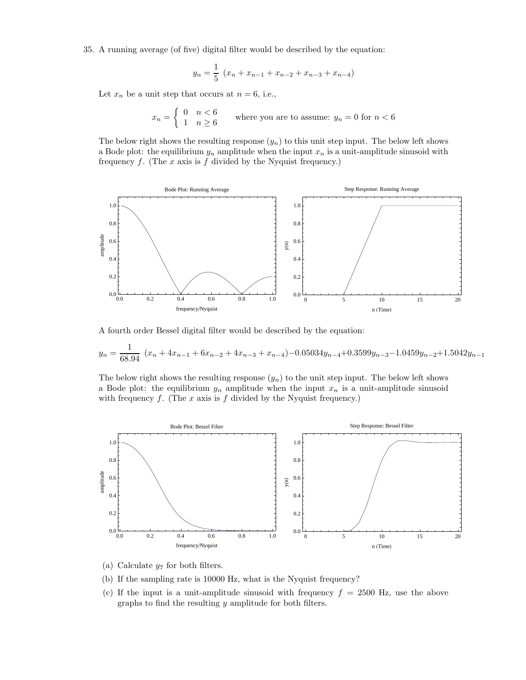35. A running average (of five) digital filter would be described by the equation:

$$
y_n = \frac{1}{5} (x_n + x_{n-1} + x_{n-2} + x_{n-3} + x_{n-4})
$$

Let  $x_n$  be a unit step that occurs at  $n = 6$ , i.e.,

$$
x_n = \begin{cases} 0 & n < 6 \\ 1 & n \ge 6 \end{cases}
$$
 where you are to assume:  $y_n = 0$  for  $n < 6$ 

The below right shows the resulting response  $(y_n)$  to this unit step input. The below left shows a Bode plot: the equilibrium  $y_n$  amplitude when the input  $x_n$  is a unit-amplitude sinusoid with frequency  $f$ . (The  $x$  axis is  $f$  divided by the Nyquist frequency.)

![](_page_8_Figure_5.jpeg)

A fourth order Bessel digital filter would be described by the equation:

$$
y_n = \frac{1}{68.94} (x_n + 4x_{n-1} + 6x_{n-2} + 4x_{n-3} + x_{n-4}) - 0.05034y_{n-4} + 0.3599y_{n-3} - 1.0459y_{n-2} + 1.5042y_{n-1}
$$

The below right shows the resulting response  $(y_n)$  to the unit step input. The below left shows a Bode plot: the equilibrium  $y_n$  amplitude when the input  $x_n$  is a unit-amplitude sinusoid with frequency  $f$ . (The  $x$  axis is  $f$  divided by the Nyquist frequency.)

![](_page_8_Figure_9.jpeg)

- (a) Calculate  $y_7$  for both filters.
- (b) If the sampling rate is 10000 Hz, what is the Nyquist frequency?
- (c) If the input is a unit-amplitude sinusoid with frequency  $f = 2500$  Hz, use the above graphs to find the resulting  $y$  amplitude for both filters.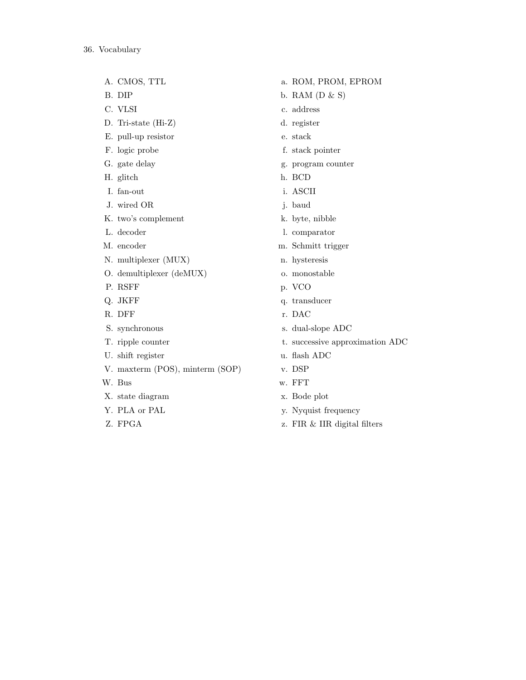- A. CMOS, TTL
- B. DIP
- C. VLSI
- D. Tri-state (Hi-Z)
- E. pull-up resistor
- F. logic probe
- G. gate delay
- H. glitch
- I. fan-out
- J. wired OR
- K. two's complement
- L. decoder
- M. encoder
- N. multiplexer (MUX)
- O. demultiplexer (deMUX)
- P. RSFF
- Q. JKFF
- R. DFF
- S. synchronous
- T. ripple counter
- U. shift register
- V. maxterm (POS), minterm (SOP)
- W. Bus
- X. state diagram
- Y. PLA or PAL
- Z. FPGA
- a. ROM, PROM, EPROM
- b. RAM  $(D & S)$
- c. address
- d. register
- e. stack
- f. stack pointer
- g. program counter
- h. BCD
- i. ASCII
- j. baud
- k. byte, nibble
- l. comparator
- m. Schmitt trigger
- n. hysteresis
- o. monostable
- p. VCO
- q. transducer
- r. DAC
- s. dual-slope ADC
- t. successive approximation ADC
- u. flash ADC
- v. DSP
- w. FFT
- x. Bode plot
- y. Nyquist frequency
- z. FIR & IIR digital filters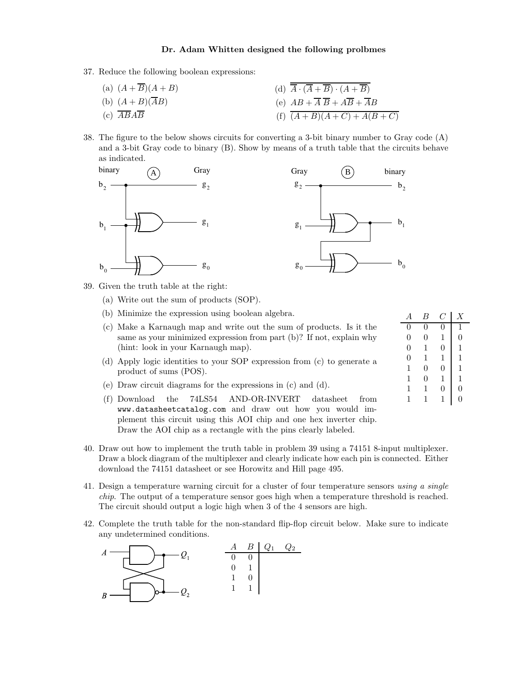## Dr. Adam Whitten designed the following prolbmes

- 37. Reduce the following boolean expressions:
	- (a)  $(A + \overline{B})(A + B)$ (b)  $(A + B)(\overline{A}B)$ (c)  $\overline{AB} \overline{AB}$ (d)  $\overline{A} \cdot (\overline{A} + \overline{B}) \cdot (A + \overline{B})$ (e)  $AB + \overline{A} \ \overline{B} + A \overline{B} + \overline{A}B$ (f)  $\overline{(A+B)(A+C)+A(B+C)}$
- 38. The figure to the below shows circuits for converting a 3-bit binary number to Gray code (A) and a 3-bit Gray code to binary (B). Show by means of a truth table that the circuits behave as indicated.

![](_page_10_Figure_4.jpeg)

![](_page_10_Figure_5.jpeg)

39. Given the truth table at the right:

- (a) Write out the sum of products (SOP).
- (b) Minimize the expression using boolean algebra.
- (c) Make a Karnaugh map and write out the sum of products. Is it the same as your minimized expression from part (b)? If not, explain why (hint: look in your Karnaugh map).
- (d) Apply logic identities to your SOP expression from (c) to generate a product of sums (POS).
- (e) Draw circuit diagrams for the expressions in (c) and (d).
- (f) Download the 74LS54 AND-OR-INVERT datasheet from www.datasheetcatalog.com and draw out how you would implement this circuit using this AOI chip and one hex inverter chip. Draw the AOI chip as a rectangle with the pins clearly labeled.

|                  | R              |                  | Χ                |
|------------------|----------------|------------------|------------------|
| 0                | 0              | 0                | 1                |
| $\boldsymbol{0}$ | 0              | 1                | $\boldsymbol{0}$ |
| $\boldsymbol{0}$ | 1              | $\boldsymbol{0}$ | 1                |
| $\boldsymbol{0}$ | 1              | 1                | 1                |
| $\mathbf{1}$     | $\overline{0}$ | $\boldsymbol{0}$ | 1                |
| 1                | $\overline{0}$ | 1                | 1                |
| 1                | 1              | 0                | $\boldsymbol{0}$ |
| 1                | 1              | 1                | $\overline{0}$   |
|                  |                |                  |                  |

- 40. Draw out how to implement the truth table in problem 39 using a 74151 8-input multiplexer. Draw a block diagram of the multiplexer and clearly indicate how each pin is connected. Either download the 74151 datasheet or see Horowitz and Hill page 495.
- 41. Design a temperature warning circuit for a cluster of four temperature sensors using a single chip. The output of a temperature sensor goes high when a temperature threshold is reached. The circuit should output a logic high when 3 of the 4 sensors are high.
- 42. Complete the truth table for the non-standard flip-flop circuit below. Make sure to indicate any undetermined conditions.

![](_page_10_Figure_17.jpeg)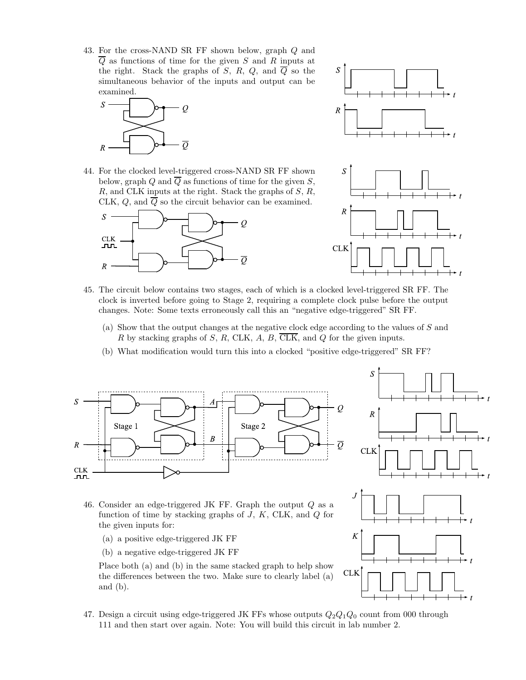43. For the cross-NAND SR FF shown below, graph Q and  $\overline{Q}$  as functions of time for the given S and R inputs at the right. Stack the graphs of S, R, Q, and  $\overline{Q}$  so the simultaneous behavior of the inputs and output can be examined.

![](_page_11_Figure_1.jpeg)

44. For the clocked level-triggered cross-NAND SR FF shown below, graph Q and  $\overline{Q}$  as functions of time for the given S,  $R$ , and CLK inputs at the right. Stack the graphs of  $S$ ,  $R$ , CLK,  $Q$ , and  $\overline{Q}$  so the circuit behavior can be examined.

![](_page_11_Figure_3.jpeg)

![](_page_11_Figure_4.jpeg)

- 45. The circuit below contains two stages, each of which is a clocked level-triggered SR FF. The clock is inverted before going to Stage 2, requiring a complete clock pulse before the output changes. Note: Some texts erroneously call this an "negative edge-triggered" SR FF.
	- (a) Show that the output changes at the negative clock edge according to the values of S and R by stacking graphs of S, R, CLK, A, B,  $\overline{\text{CLK}}$ , and Q for the given inputs.
	- (b) What modification would turn this into a clocked "positive edge-triggered" SR FF?

![](_page_11_Figure_8.jpeg)

![](_page_11_Figure_9.jpeg)

- 46. Consider an edge-triggered JK FF. Graph the output Q as a function of time by stacking graphs of  $J, K, CLK,$  and  $Q$  for the given inputs for:
	- (a) a positive edge-triggered JK FF
	- (b) a negative edge-triggered JK FF

Place both (a) and (b) in the same stacked graph to help show the differences between the two. Make sure to clearly label (a) and (b).

- K **CLK**
- 47. Design a circuit using edge-triggered JK FFs whose outputs  $Q_2Q_1Q_0$  count from 000 through 111 and then start over again. Note: You will build this circuit in lab number 2.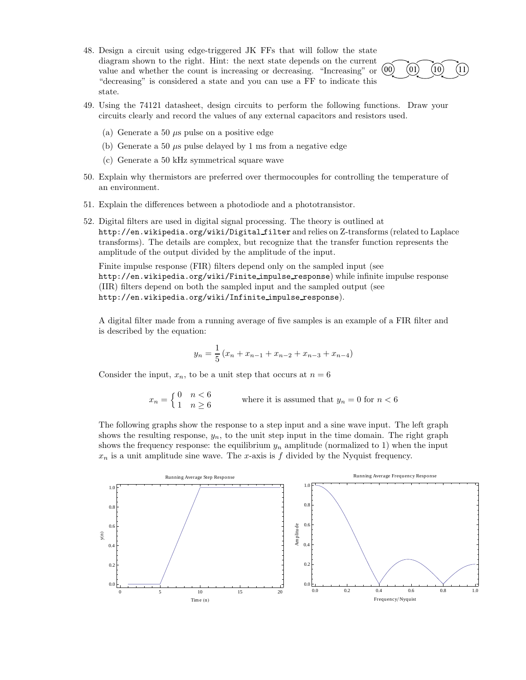![](_page_12_Figure_0.jpeg)

![](_page_12_Figure_1.jpeg)

 $(10)$ 

 $(11)$ 

- (a) Generate a 50  $\mu$ s pulse on a positive edge
- (b) Generate a 50  $\mu$ s pulse delayed by 1 ms from a negative edge
- (c) Generate a 50 kHz symmetrical square wave
- 50. Explain why thermistors are preferred over thermocouples for controlling the temperature of an environment.
- 51. Explain the differences between a photodiode and a phototransistor.
- 52. Digital filters are used in digital signal processing. The theory is outlined at http://en.wikipedia.org/wiki/Digital filter and relies on Z-transforms (related to Laplace transforms). The details are complex, but recognize that the transfer function represents the amplitude of the output divided by the amplitude of the input.

Finite impulse response (FIR) filters depend only on the sampled input (see http://en.wikipedia.org/wiki/Finite impulse response) while infinite impulse response (IIR) filters depend on both the sampled input and the sampled output (see http://en.wikipedia.org/wiki/Infinite impulse response).

A digital filter made from a running average of five samples is an example of a FIR filter and is described by the equation:

$$
y_n = \frac{1}{5} (x_n + x_{n-1} + x_{n-2} + x_{n-3} + x_{n-4})
$$

Consider the input,  $x_n$ , to be a unit step that occurs at  $n = 6$ 

$$
x_n = \begin{cases} 0 & n < 6 \\ 1 & n \ge 6 \end{cases}
$$
 where it is assumed that  $y_n = 0$  for  $n < 6$ 

The following graphs show the response to a step input and a sine wave input. The left graph shows the resulting response,  $y_n$ , to the unit step input in the time domain. The right graph shows the frequency response: the equilibrium  $y_n$  amplitude (normalized to 1) when the input  $x_n$  is a unit amplitude sine wave. The x-axis is f divided by the Nyquist frequency.

![](_page_12_Figure_14.jpeg)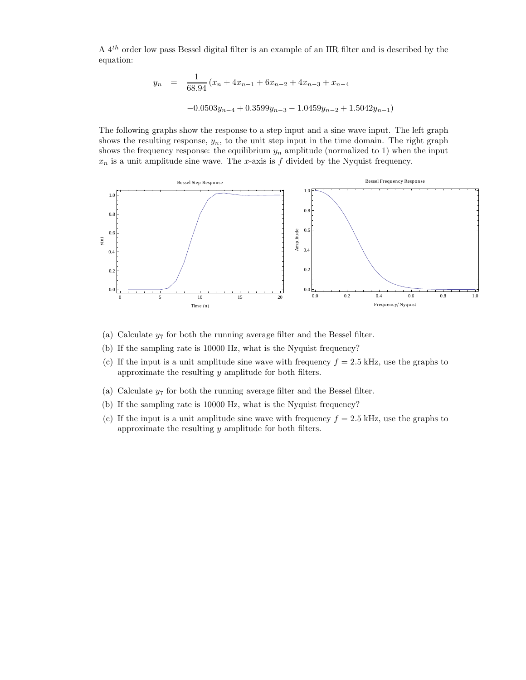A 4th order low pass Bessel digital filter is an example of an IIR filter and is described by the equation:

$$
y_n = \frac{1}{68.94} (x_n + 4x_{n-1} + 6x_{n-2} + 4x_{n-3} + x_{n-4}
$$

$$
-0.0503y_{n-4} + 0.3599y_{n-3} - 1.0459y_{n-2} + 1.5042y_{n-1})
$$

The following graphs show the response to a step input and a sine wave input. The left graph shows the resulting response,  $y_n$ , to the unit step input in the time domain. The right graph shows the frequency response: the equilibrium  $y_n$  amplitude (normalized to 1) when the input  $x_n$  is a unit amplitude sine wave. The x-axis is f divided by the Nyquist frequency.

![](_page_13_Figure_3.jpeg)

- (a) Calculate  $y_7$  for both the running average filter and the Bessel filter.
- (b) If the sampling rate is 10000 Hz, what is the Nyquist frequency?
- (c) If the input is a unit amplitude sine wave with frequency  $f = 2.5$  kHz, use the graphs to approximate the resulting  $y$  amplitude for both filters.
- (a) Calculate  $y_7$  for both the running average filter and the Bessel filter.
- (b) If the sampling rate is 10000 Hz, what is the Nyquist frequency?
- (c) If the input is a unit amplitude sine wave with frequency  $f = 2.5$  kHz, use the graphs to approximate the resulting  $y$  amplitude for both filters.